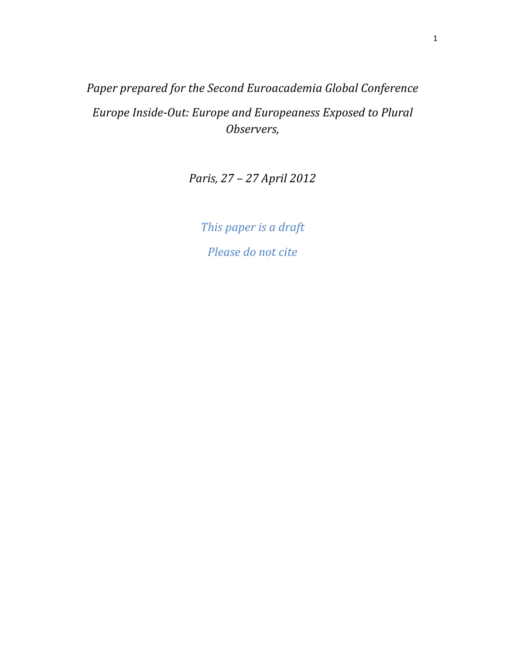Paper prepared for the Second Euroacademia Global Conference Europe Inside-Out: Europe and Europeaness Exposed to Plural Observers,

Paris, 27 – 27 April 2012

This paper is a draft Please do not cite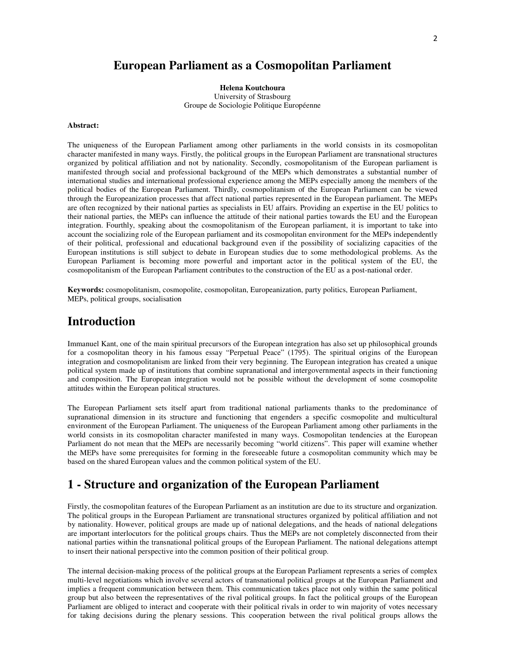## **European Parliament as a Cosmopolitan Parliament**

**Helena Koutchoura**  University of Strasbourg Groupe de Sociologie Politique Européenne

#### **Abstract:**

The uniqueness of the European Parliament among other parliaments in the world consists in its cosmopolitan character manifested in many ways. Firstly, the political groups in the European Parliament are transnational structures organized by political affiliation and not by nationality. Secondly, cosmopolitanism of the European parliament is manifested through social and professional background of the MEPs which demonstrates a substantial number of international studies and international professional experience among the MEPs especially among the members of the political bodies of the European Parliament. Thirdly, cosmopolitanism of the European Parliament can be viewed through the Europeanization processes that affect national parties represented in the European parliament. The MEPs are often recognized by their national parties as specialists in EU affairs. Providing an expertise in the EU politics to their national parties, the MEPs can influence the attitude of their national parties towards the EU and the European integration. Fourthly, speaking about the cosmopolitanism of the European parliament, it is important to take into account the socializing role of the European parliament and its cosmopolitan environment for the MEPs independently of their political, professional and educational background even if the possibility of socializing capacities of the European institutions is still subject to debate in European studies due to some methodological problems. As the European Parliament is becoming more powerful and important actor in the political system of the EU, the cosmopolitanism of the European Parliament contributes to the construction of the EU as a post-national order.

**Keywords:** cosmopolitanism, cosmopolite, cosmopolitan, Europeanization, party politics, European Parliament, MEPs, political groups, socialisation

### **Introduction**

Immanuel Kant, one of the main spiritual precursors of the European integration has also set up philosophical grounds for a cosmopolitan theory in his famous essay "Perpetual Peace" (1795). The spiritual origins of the European integration and cosmopolitanism are linked from their very beginning. The European integration has created a unique political system made up of institutions that combine supranational and intergovernmental aspects in their functioning and composition. The European integration would not be possible without the development of some cosmopolite attitudes within the European political structures.

The European Parliament sets itself apart from traditional national parliaments thanks to the predominance of supranational dimension in its structure and functioning that engenders a specific cosmopolite and multicultural environment of the European Parliament. The uniqueness of the European Parliament among other parliaments in the world consists in its cosmopolitan character manifested in many ways. Cosmopolitan tendencies at the European Parliament do not mean that the MEPs are necessarily becoming "world citizens". This paper will examine whether the MEPs have some prerequisites for forming in the foreseeable future a cosmopolitan community which may be based on the shared European values and the common political system of the EU.

## **1 - Structure and organization of the European Parliament**

Firstly, the cosmopolitan features of the European Parliament as an institution are due to its structure and organization. The political groups in the European Parliament are transnational structures organized by political affiliation and not by nationality. However, political groups are made up of national delegations, and the heads of national delegations are important interlocutors for the political groups chairs. Thus the MEPs are not completely disconnected from their national parties within the transnational political groups of the European Parliament. The national delegations attempt to insert their national perspective into the common position of their political group.

The internal decision-making process of the political groups at the European Parliament represents a series of complex multi-level negotiations which involve several actors of transnational political groups at the European Parliament and implies a frequent communication between them. This communication takes place not only within the same political group but also between the representatives of the rival political groups. In fact the political groups of the European Parliament are obliged to interact and cooperate with their political rivals in order to win majority of votes necessary for taking decisions during the plenary sessions. This cooperation between the rival political groups allows the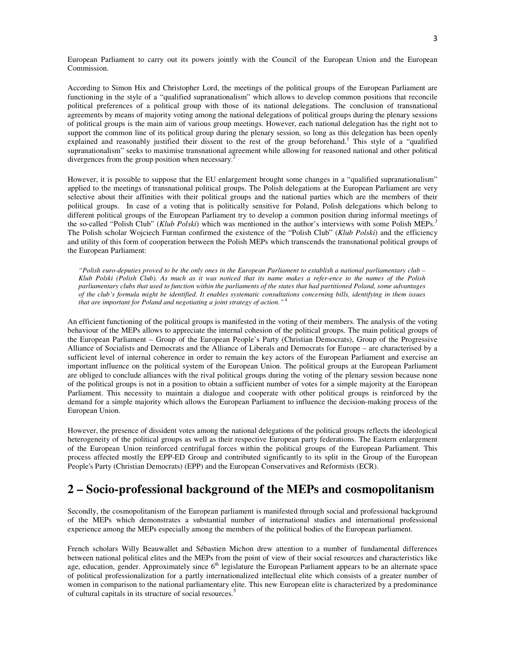European Parliament to carry out its powers jointly with the Council of the European Union and the European Commission.

According to Simon Hix and Christopher Lord, the meetings of the political groups of the European Parliament are functioning in the style of a "qualified supranationalism" which allows to develop common positions that reconcile political preferences of a political group with those of its national delegations. The conclusion of transnational agreements by means of majority voting among the national delegations of political groups during the plenary sessions of political groups is the main aim of various group meetings. However, each national delegation has the right not to support the common line of its political group during the plenary session, so long as this delegation has been openly explained and reasonably justified their dissent to the rest of the group beforehand.<sup>1</sup> This style of a "qualified supranationalism" seeks to maximise transnational agreement while allowing for reasoned national and other political divergences from the group position when necessary.<sup>2</sup>

However, it is possible to suppose that the EU enlargement brought some changes in a "qualified supranationalism" applied to the meetings of transnational political groups. The Polish delegations at the European Parliament are very selective about their affinities with their political groups and the national parties which are the members of their political groups. In case of a voting that is politically sensitive for Poland, Polish delegations which belong to different political groups of the European Parliament try to develop a common position during informal meetings of the so-called "Polish Club" (*Klub Polski*) which was mentioned in the author's interviews with some Polish MEPs.<sup>3</sup> The Polish scholar Wojciech Furman confirmed the existence of the "Polish Club" (*Klub Polski*) and the efficiency and utility of this form of cooperation between the Polish MEPs which transcends the transnational political groups of the European Parliament:

*"Polish euro-deputies proved to be the only ones in the European Parliament to establish a national parliamentary club – Klub Polski (Polish Club). As much as it was noticed that its name makes a refer-ence to the names of the Polish parliamentary clubs that used to function within the parliaments of the states that had partitioned Poland, some advantages of the club's formula might be identified. It enables systematic consultations concerning bills, identifying in them issues that are important for Poland and negotiating a joint strategy of action."*<sup>4</sup>

An efficient functioning of the political groups is manifested in the voting of their members. The analysis of the voting behaviour of the MEPs allows to appreciate the internal cohesion of the political groups. The main political groups of the European Parliament – Group of the European People's Party (Christian Democrats), Group of the Progressive Alliance of Socialists and Democrats and the Alliance of Liberals and Democrats for Europe – are characterised by a sufficient level of internal coherence in order to remain the key actors of the European Parliament and exercise an important influence on the political system of the European Union. The political groups at the European Parliament are obliged to conclude alliances with the rival political groups during the voting of the plenary session because none of the political groups is not in a position to obtain a sufficient number of votes for a simple majority at the European Parliament. This necessity to maintain a dialogue and cooperate with other political groups is reinforced by the demand for a simple majority which allows the European Parliament to influence the decision-making process of the European Union.

However, the presence of dissident votes among the national delegations of the political groups reflects the ideological heterogeneity of the political groups as well as their respective European party federations. The Eastern enlargement of the European Union reinforced centrifugal forces within the political groups of the European Parliament. This process affected mostly the EPP-ED Group and contributed significantly to its split in the Group of the European People's Party (Christian Democrats) (EPP) and the European Conservatives and Reformists (ECR).

## **2 – Socio-professional background of the MEPs and cosmopolitanism**

Secondly, the cosmopolitanism of the European parliament is manifested through social and professional background of the MEPs which demonstrates a substantial number of international studies and international professional experience among the MEPs especially among the members of the political bodies of the European parliament.

French scholars Willy Beauwallet and Sébastien Michon drew attention to a number of fundamental differences between national political elites and the MEPs from the point of view of their social resources and characteristics like age, education, gender. Approximately since  $6<sup>th</sup>$  legislature the European Parliament appears to be an alternate space of political professionalization for a partly internationalized intellectual elite which consists of a greater number of women in comparison to the national parliamentary elite. This new European elite is characterized by a predominance of cultural capitals in its structure of social resources. 5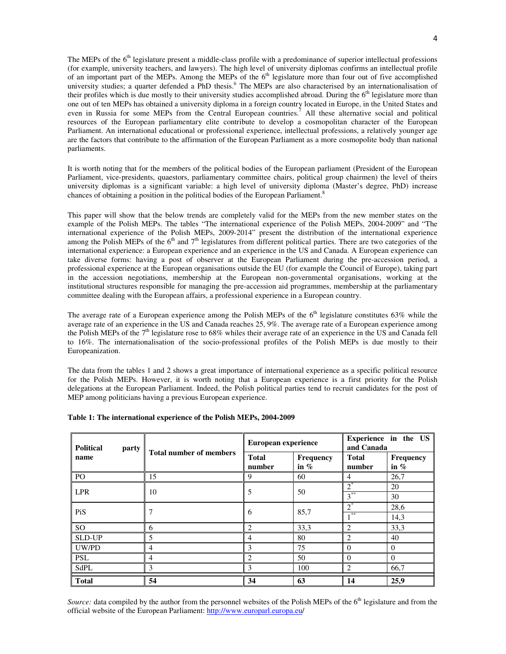The MEPs of the 6<sup>th</sup> legislature present a middle-class profile with a predominance of superior intellectual professions (for example, university teachers, and lawyers). The high level of university diplomas confirms an intellectual profile of an important part of the MEPs. Among the MEPs of the  $6<sup>th</sup>$  legislature more than four out of five accomplished university studies; a quarter defended a PhD thesis.<sup>6</sup> The MEPs are also characterised by an internationalisation of their profiles which is due mostly to their university studies accomplished abroad. During the  $6<sup>th</sup>$  legislature more than one out of ten MEPs has obtained a university diploma in a foreign country located in Europe, in the United States and even in Russia for some MEPs from the Central European countries.<sup>7</sup> All these alternative social and political resources of the European parliamentary elite contribute to develop a cosmopolitan character of the European Parliament. An international educational or professional experience, intellectual professions, a relatively younger age are the factors that contribute to the affirmation of the European Parliament as a more cosmopolite body than national parliaments.

It is worth noting that for the members of the political bodies of the European parliament (President of the European Parliament, vice-presidents, quaestors, parliamentary committee chairs, political group chairmen) the level of theirs university diplomas is a significant variable: a high level of university diploma (Master's degree, PhD) increase chances of obtaining a position in the political bodies of the European Parliament.<sup>8</sup>

This paper will show that the below trends are completely valid for the MEPs from the new member states on the example of the Polish MEPs. The tables "The international experience of the Polish MEPs, 2004-2009" and "The international experience of the Polish MEPs, 2009-2014" present the distribution of the international experience among the Polish MEPs of the  $6<sup>th</sup>$  and  $7<sup>th</sup>$  legislatures from different political parties. There are two categories of the international experience: a European experience and an experience in the US and Canada. A European experience can take diverse forms: having a post of observer at the European Parliament during the pre-accession period, a professional experience at the European organisations outside the EU (for example the Council of Europe), taking part in the accession negotiations, membership at the European non-governmental organisations, working at the institutional structures responsible for managing the pre-accession aid programmes, membership at the parliamentary committee dealing with the European affairs, a professional experience in a European country.

The average rate of a European experience among the Polish MEPs of the  $6<sup>th</sup>$  legislature constitutes 63% while the average rate of an experience in the US and Canada reaches 25, 9%. The average rate of a European experience among the Polish MEPs of the  $7<sup>th</sup>$  legislature rose to 68% whiles their average rate of an experience in the US and Canada fell to 16%. The internationalisation of the socio-professional profiles of the Polish MEPs is due mostly to their Europeanization.

The data from the tables 1 and 2 shows a great importance of international experience as a specific political resource for the Polish MEPs. However, it is worth noting that a European experience is a first priority for the Polish delegations at the European Parliament. Indeed, the Polish political parties tend to recruit candidates for the post of MEP among politicians having a previous European experience.

| <b>Political</b><br>party<br>name | <b>Total number of members</b> | European experience    |                            | Experience in the US<br>and Canada |                     |
|-----------------------------------|--------------------------------|------------------------|----------------------------|------------------------------------|---------------------|
|                                   |                                | <b>Total</b><br>number | <b>Frequency</b><br>in $%$ | <b>Total</b><br>number             | Frequency<br>in $%$ |
| P <sub>O</sub>                    | 15                             | 9                      | 60                         | 4                                  | 26,7                |
| <b>LPR</b>                        | 10                             | 5                      | 50                         | $2^*$                              | 20                  |
|                                   |                                |                        |                            | $3^{**}$                           | 30                  |
| PiS                               | 7                              | 6                      | 85,7                       | $2^*$                              | 28,6                |
|                                   |                                |                        |                            | $-$ **                             | 14,3                |
| SO <sub>1</sub>                   | 6                              | $\overline{c}$         | 33,3                       | 2                                  | 33,3                |
| <b>SLD-UP</b>                     | 5                              | 4                      | 80                         | 2                                  | 40                  |
| UW/PD                             | $\overline{4}$                 | 3                      | 75                         | $\theta$                           | $\Omega$            |
| <b>PSL</b>                        | $\overline{4}$                 | $\overline{c}$         | 50                         | $\Omega$                           | $\Omega$            |
| SdPL                              | 3                              | 3                      | 100                        | $\overline{2}$                     | 66,7                |
| <b>Total</b>                      | 54                             | 34                     | 63                         | 14                                 | 25,9                |

### **Table 1: The international experience of the Polish MEPs, 2004-2009**

*Source:* data compiled by the author from the personnel websites of the Polish MEPs of the 6<sup>th</sup> legislature and from the official website of the European Parliament: http://www.europarl.europa.eu/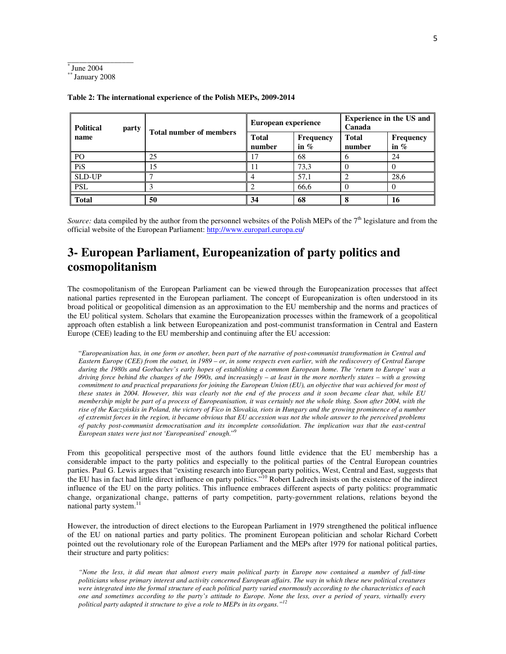

\_\_\_\_\_\_\_\_\_\_\_\_\_\_\_\_\_

| <b>Political</b><br>party<br>name | <b>Total number of members</b> | European experience    |                             | <b>Experience in the US and</b><br>Canada |                     |
|-----------------------------------|--------------------------------|------------------------|-----------------------------|-------------------------------------------|---------------------|
|                                   |                                | <b>Total</b><br>number | <b>Frequency</b><br>in $\%$ | Total<br>number                           | Frequency<br>in $%$ |
| P <sub>O</sub>                    | 25                             | 7                      | 68                          |                                           | 24                  |
| PiS                               | 15                             |                        | 73,3                        |                                           |                     |
| <b>SLD-UP</b>                     |                                |                        | 57,1                        |                                           | 28,6                |
| <b>PSL</b>                        |                                |                        | 66,6                        |                                           |                     |
| <b>Total</b>                      | 50                             | 34                     | 68                          |                                           | 16                  |

**Table 2: The international experience of the Polish MEPs, 2009-2014** 

*Source:* data compiled by the author from the personnel websites of the Polish MEPs of the 7<sup>th</sup> legislature and from the official website of the European Parliament: http://www.europarl.europa.eu/

# **3- European Parliament, Europeanization of party politics and cosmopolitanism**

The cosmopolitanism of the European Parliament can be viewed through the Europeanization processes that affect national parties represented in the European parliament. The concept of Europeanization is often understood in its broad political or geopolitical dimension as an approximation to the EU membership and the norms and practices of the EU political system. Scholars that examine the Europeanization processes within the framework of a geopolitical approach often establish a link between Europeanization and post-communist transformation in Central and Eastern Europe (CEE) leading to the EU membership and continuing after the EU accession:

"*Europeanisation has, in one form or another, been part of the narrative of post-communist transformation in Central and Eastern Europe (CEE) from the outset, in 1989 – or, in some respects even earlier, with the rediscovery of Central Europe during the 1980s and Gorbachev's early hopes of establishing a common European home. The 'return to Europe' was a driving force behind the changes of the 1990s, and increasingly – at least in the more northerly states – with a growing commitment to and practical preparations for joining the European Union (EU), an objective that was achieved for most of these states in 2004. However, this was clearly not the end of the process and it soon became clear that, while EU membership might be part of a process of Europeanisation, it was certainly not the whole thing. Soon after 2004, with the rise of the Kaczy*ń*skis in Poland, the victory of Fico in Slovakia, riots in Hungary and the growing prominence of a number of extremist forces in the region, it became obvious that EU accession was not the whole answer to the perceived problems*  of patchy post-communist democratisation and its incomplete consolidation. The implication was that the east-central  $F<sub>2</sub>$ *European states were just not 'Europeanised' enough.*"

From this geopolitical perspective most of the authors found little evidence that the EU membership has a considerable impact to the party politics and especially to the political parties of the Central European countries parties. Paul G. Lewis argues that "existing research into European party politics, West, Central and East, suggests that the EU has in fact had little direct influence on party politics."<sup>10</sup> Robert Ladrech insists on the existence of the indirect influence of the EU on the party politics. This influence embraces different aspects of party politics: programmatic change, organizational change, patterns of party competition, party-government relations, relations beyond the national party system. $^{11}$ 

However, the introduction of direct elections to the European Parliament in 1979 strengthened the political influence of the EU on national parties and party politics. The prominent European politician and scholar Richard Corbett pointed out the revolutionary role of the European Parliament and the MEPs after 1979 for national political parties, their structure and party politics:

*"None the less, it did mean that almost every main political party in Europe now contained a number of full-time politicians whose primary interest and activity concerned European affairs. The way in which these new political creatures were integrated into the formal structure of each political party varied enormously according to the characteristics of each one and sometimes according to the party's attitude to Europe. None the less, over a period of years, virtually every political party adapted it structure to give a role to MEPs in its organs."<sup>12</sup>*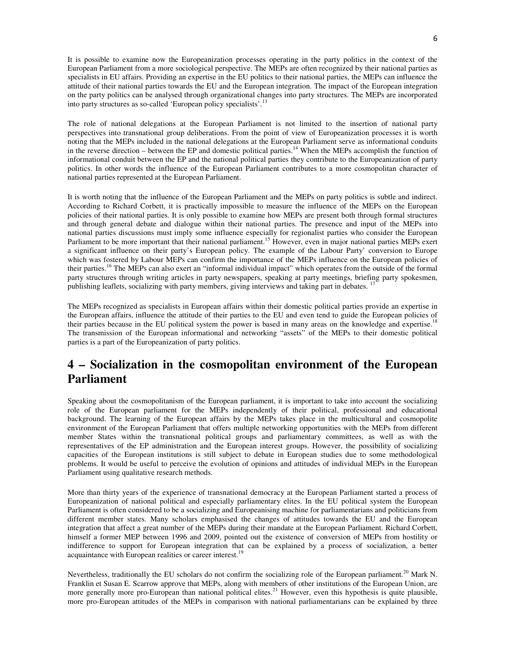It is possible to examine now the Europeanization processes operating in the party politics in the context of the European Parliament from a more sociological perspective. The MEPs are often recognized by their national parties as specialists in EU affairs. Providing an expertise in the EU politics to their national parties, the MEPs can influence the attitude of their national parties towards the EU and the European integration. The impact of the European integration on the party politics can be analysed through organizational changes into party structures. The MEPs are incorporated into party structures as so-called 'European policy specialists'.<sup>13</sup>

The role of national delegations at the European Parliament is not limited to the insertion of national party perspectives into transnational group deliberations. From the point of view of Europeanization processes it is worth noting that the MEPs included in the national delegations at the European Parliament serve as informational conduits in the reverse direction – between the EP and domestic political parties.<sup>14</sup> When the MEPs accomplish the function of informational conduit between the EP and the national political parties they contribute to the Europeanization of party politics. In other words the influence of the European Parliament contributes to a more cosmopolitan character of national parties represented at the European Parliament.

It is worth noting that the influence of the European Parliament and the MEPs on party politics is subtle and indirect. According to Richard Corbett, it is practically impossible to measure the influence of the MEPs on the European policies of their national parties. It is only possible to examine how MEPs are present both through formal structures and through general debate and dialogue within their national parties. The presence and input of the MEPs into national parties discussions must imply some influence especially for regionalist parties who consider the European Parliament to be more important that their national parliament.<sup>15</sup> However, even in major national parties MEPs exert a significant influence on their party's European policy. The example of the Labour Party' conversion to Europe which was fostered by Labour MEPs can confirm the importance of the MEPs influence on the European policies of their parties.<sup>16</sup> The MEPs can also exert an "informal individual impact" which operates from the outside of the formal party structures through writing articles in party newspapers, speaking at party meetings, briefing party spokesmen, publishing leaflets, socializing with party members, giving interviews and taking part in debates. <sup>17</sup>

The MEPs recognized as specialists in European affairs within their domestic political parties provide an expertise in the European affairs, influence the attitude of their parties to the EU and even tend to guide the European policies of their parties because in the EU political system the power is based in many areas on the knowledge and expertise.<sup>18</sup> The transmission of the European informational and networking "assets" of the MEPs to their domestic political parties is a part of the Europeanization of party politics.

# **4 – Socialization in the cosmopolitan environment of the European Parliament**

Speaking about the cosmopolitanism of the European parliament, it is important to take into account the socializing role of the European parliament for the MEPs independently of their political, professional and educational background. The learning of the European affairs by the MEPs takes place in the multicultural and cosmopolite environment of the European Parliament that offers multiple networking opportunities with the MEPs from different member States within the transnational political groups and parliamentary committees, as well as with the representatives of the EP administration and the European interest groups. However, the possibility of socializing capacities of the European institutions is still subject to debate in European studies due to some methodological problems. It would be useful to perceive the evolution of opinions and attitudes of individual MEPs in the European Parliament using qualitative research methods.

More than thirty years of the experience of transnational democracy at the European Parliament started a process of Europeanization of national political and especially parliamentary elites. In the EU political system the European Parliament is often considered to be a socializing and Europeanising machine for parliamentarians and politicians from different member states. Many scholars emphasised the changes of attitudes towards the EU and the European integration that affect a great number of the MEPs during their mandate at the European Parliament. Richard Corbett, himself a former MEP between 1996 and 2009, pointed out the existence of conversion of MEPs from hostility or indifference to support for European integration that can be explained by a process of socialization, a better acquaintance with European realities or career interest.<sup>1</sup>

Nevertheless, traditionally the EU scholars do not confirm the socializing role of the European parliament.<sup>20</sup> Mark N. Franklin et Susan E. Scarrow approve that MEPs, along with members of other institutions of the European Union, are more generally more pro-European than national political elites.<sup>21</sup> However, even this hypothesis is quite plausible, more pro-European attitudes of the MEPs in comparison with national parliamentarians can be explained by three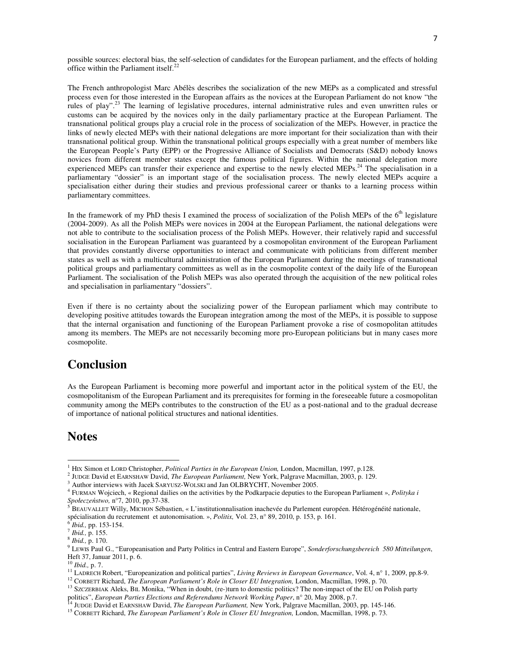possible sources: electoral bias, the self-selection of candidates for the European parliament, and the effects of holding office within the Parliament itself. $22$ 

The French anthropologist Marc Abélès describes the socialization of the new MEPs as a complicated and stressful process even for those interested in the European affairs as the novices at the European Parliament do not know "the rules of play".<sup>23</sup> The learning of legislative procedures, internal administrative rules and even unwritten rules or customs can be acquired by the novices only in the daily parliamentary practice at the European Parliament. The transnational political groups play a crucial role in the process of socialization of the MEPs. However, in practice the links of newly elected MEPs with their national delegations are more important for their socialization than with their transnational political group. Within the transnational political groups especially with a great number of members like the European People's Party (EPP) or the Progressive Alliance of Socialists and Democrats (S&D) nobody knows novices from different member states except the famous political figures. Within the national delegation more experienced MEPs can transfer their experience and expertise to the newly elected MEPs.<sup>24</sup> The specialisation in a parliamentary "dossier" is an important stage of the socialisation process. The newly elected MEPs acquire a specialisation either during their studies and previous professional career or thanks to a learning process within parliamentary committees.

In the framework of my PhD thesis I examined the process of socialization of the Polish MEPs of the  $6<sup>th</sup>$  legislature (2004-2009). As all the Polish MEPs were novices in 2004 at the European Parliament, the national delegations were not able to contribute to the socialisation process of the Polish MEPs. However, their relatively rapid and successful socialisation in the European Parliament was guaranteed by a cosmopolitan environment of the European Parliament that provides constantly diverse opportunities to interact and communicate with politicians from different member states as well as with a multicultural administration of the European Parliament during the meetings of transnational political groups and parliamentary committees as well as in the cosmopolite context of the daily life of the European Parliament. The socialisation of the Polish MEPs was also operated through the acquisition of the new political roles and specialisation in parliamentary "dossiers".

Even if there is no certainty about the socializing power of the European parliament which may contribute to developing positive attitudes towards the European integration among the most of the MEPs, it is possible to suppose that the internal organisation and functioning of the European Parliament provoke a rise of cosmopolitan attitudes among its members. The MEPs are not necessarily becoming more pro-European politicians but in many cases more cosmopolite.

## **Conclusion**

As the European Parliament is becoming more powerful and important actor in the political system of the EU, the cosmopolitanism of the European Parliament and its prerequisites for forming in the foreseeable future a cosmopolitan community among the MEPs contributes to the construction of the EU as a post-national and to the gradual decrease of importance of national political structures and national identities.

## **Notes**

 $\overline{a}$ 

<sup>&</sup>lt;sup>1</sup> HIX Simon et LORD Christopher, *Political Parties in the European Union*, London, Macmillan, 1997, p.128.

<sup>2</sup> JUDGE David et EARNSHAW David, *The European Parliament,* New York, Palgrave Macmillan, 2003, p. 129.

<sup>&</sup>lt;sup>3</sup> Author interviews with Jacek SARYUSZ-WOLSKI and Jan OLBRYCHT, November 2005.

<sup>4</sup> FURMAN Wojciech, « Regional dailies on the activities by the Podkarpacie deputies to the European Parliament », *Polityka i*  Społeczeństwo, n°7, 2010, pp.37-38.<br><sup>5</sup> BEAUVALLET Willy, MICHON Sébastien, « L'institutionnalisation inachevée du Parlement européen. Hétérogénéité nationale,

spécialisation du recrutement et autonomisation. », *Politix,* Vol. 23, n° 89, 2010, p. 153, p. 161.

<sup>6</sup> *Ibid.,* pp. 153-154.

<sup>7</sup> *Ibid.,* p. 155.

<sup>8</sup> *Ibid.,* p. 170.

<sup>9</sup> LEWIS Paul G., "Europeanisation and Party Politics in Central and Eastern Europe", *Sonderforschungsbereich 580 Mitteilungen*, Heft 37, Januar 2011, p. 6.

<sup>10</sup> *Ibid.,* p. 7.

<sup>&</sup>lt;sup>11</sup> LADRECH Robert, "Europeanization and political parties", *Living Reviews in European Governance*, Vol. 4, n° 1, 2009, pp.8-9.

<sup>12</sup> CORBETT Richard, *The European Parliament's Role in Closer EU Integration,* London, Macmillan, 1998, p. 70.

<sup>&</sup>lt;sup>13</sup> SZCZERBIAK Aleks, BIL Monika, "When in doubt, (re-)turn to domestic politics? The non-impact of the EU on Polish party politics", *European Parties Elections and Referendums Network Working Paper*, n° 20, May 2008, p.7.

<sup>14</sup> JUDGE David et EARNSHAW David, *The European Parliament,* New York, Palgrave Macmillan, 2003, pp. 145-146.

<sup>15</sup> CORBETT Richard, *The European Parliament's Role in Closer EU Integration,* London, Macmillan, 1998, p. 73.